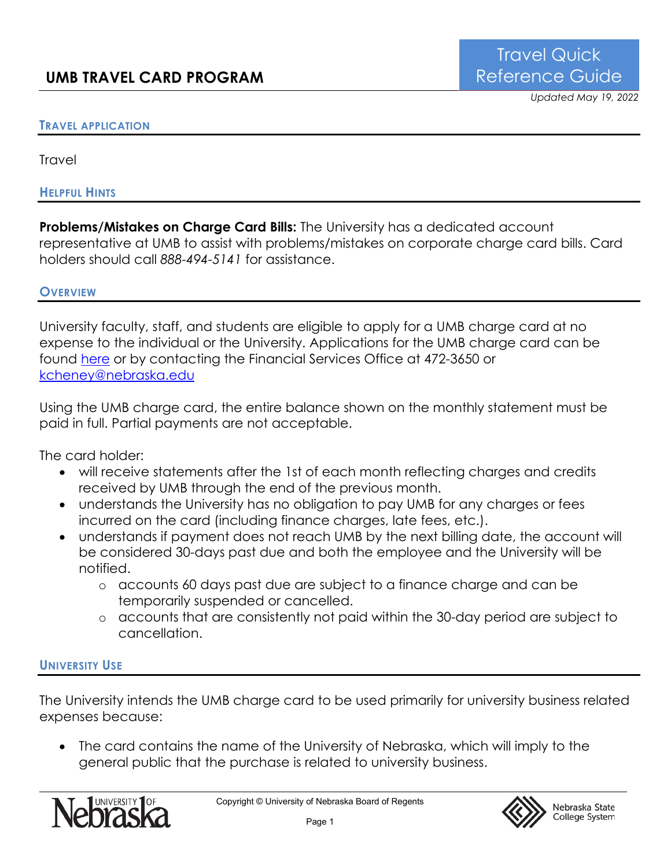## **TRAVEL APPLICATION**

Travel

#### **HELPFUL HINTS**

**Problems/Mistakes on Charge Card Bills:** The University has a dedicated account representative at UMB to assist with problems/mistakes on corporate charge card bills. Card holders should call *888-494-5141* for assistance.

#### **OVERVIEW**

University faculty, staff, and students are eligible to apply for a UMB charge card at no expense to the individual or the University. Applications for the UMB charge card can be found here or by contacting the Financial Services Office at 472-3650 or kcheney@nebraska.edu

Using the UMB charge card, the entire balance shown on the monthly statement must be paid in full. Partial payments are not acceptable.

The card holder:

- will receive statements after the 1st of each month reflecting charges and credits received by UMB through the end of the previous month.
- understands the University has no obligation to pay UMB for any charges or fees incurred on the card (including finance charges, late fees, etc.).
- understands if payment does not reach UMB by the next billing date, the account will be considered 30-days past due and both the employee and the University will be notified.
	- o accounts 60 days past due are subject to a finance charge and can be temporarily suspended or cancelled.
	- o accounts that are consistently not paid within the 30-day period are subject to cancellation.

## **UNIVERSITY USE**

The University intends the UMB charge card to be used primarily for university business related expenses because:

• The card contains the name of the University of Nebraska, which will imply to the general public that the purchase is related to university business.